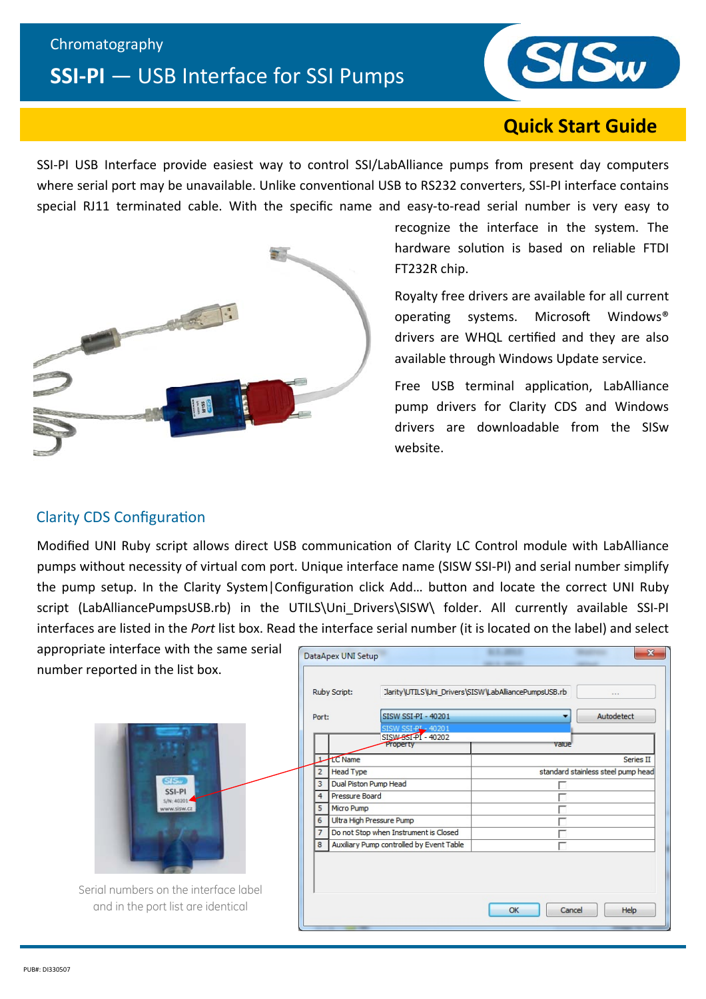#### Chromatography

# **SSI‐PI** — USB Interface for SSI Pumps



## **Quick Start Guide**

SSI-PI USB Interface provide easiest way to control SSI/LabAlliance pumps from present day computers where serial port may be unavailable. Unlike conventional USB to RS232 converters, SSI-PI interface contains special RJ11 terminated cable. With the specific name and easy-to-read serial number is very easy to



recognize the interface in the system. The hardware solution is based on reliable FTDI FT232R chip.

Royalty free drivers are available for all current operating systems. Microsoft Windows® drivers are WHQL certified and they are also available through Windows Update service.

Free USB terminal application, LabAlliance pump drivers for Clarity CDS and Windows drivers are downloadable from the SISw website.

### Clarity CDS Configuration

Modified UNI Ruby script allows direct USB communication of Clarity LC Control module with LabAlliance pumps without necessity of virtual com port. Unique interface name (SISW SSI‐PI) and serial number simplify the pump setup. In the Clarity System|Configuration click Add... button and locate the correct UNI Ruby script (LabAlliancePumpsUSB.rb) in the UTILS\Uni Drivers\SISW\ folder. All currently available SSI-PI interfaces are listed in the *Port* list box. Read the interface serial number (it is located on the label) and select

appropriate interface with the same serial number reported in the list box.



Serial numbers on the interface label and in the port list are identical

| Ruby Script:<br>Port: |                  | Clarity\UTILS\Uni_Drivers\SISW\LabAlliancePumpsUSB.rb |       | 1.1.1                              |
|-----------------------|------------------|-------------------------------------------------------|-------|------------------------------------|
|                       |                  | SISW SSI-PI - 40201                                   | ▼     | Autodetect                         |
|                       |                  | SISW SSI-PL-40201                                     |       |                                    |
|                       |                  | SISW-85I-PI - 40202<br>Property                       | value |                                    |
| $\mathbf{1}$          | <b>LC</b> Name   |                                                       |       | Series II                          |
| $\overline{2}$        | <b>Head Type</b> |                                                       |       | standard stainless steel pump head |
| 3                     |                  | Dual Piston Pump Head                                 |       |                                    |
| $\overline{4}$        | Pressure Board   |                                                       |       |                                    |
| 5                     | Micro Pump       |                                                       |       |                                    |
| 6                     |                  | Ultra High Pressure Pump                              |       |                                    |
| $\overline{7}$        |                  | Do not Stop when Instrument is Closed                 |       |                                    |
| 8                     |                  | Auxiliary Pump controlled by Event Table              |       |                                    |
|                       |                  |                                                       |       |                                    |
|                       |                  |                                                       |       |                                    |
|                       |                  |                                                       |       |                                    |